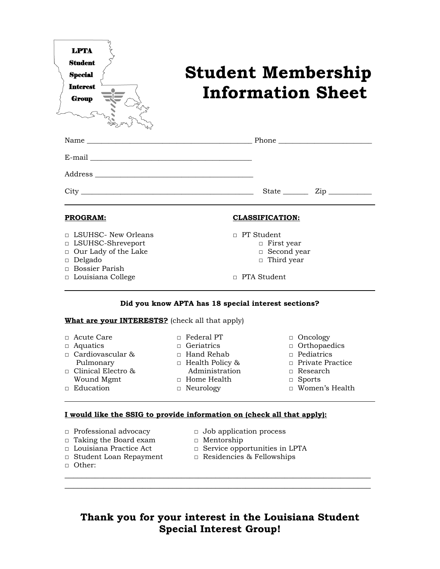

# **Student Membership Information Sheet**

| <b>PROGRAM:</b>                              | <b>CLASSIFICATION:</b>                 |  |  |  |
|----------------------------------------------|----------------------------------------|--|--|--|
| □ LSUHSC- New Orleans<br>□ LSUHSC-Shreveport | $\Box$ PT Student<br>$\Box$ First year |  |  |  |

- □ Our Lady of the Lake
- □ Delgado
- □ Bossier Parish
- □ Louisiana College
- □ Second year
- □ Third year
- □ PTA Student

### **Did you know APTA has 18 special interest sections?**

#### **What are your INTERESTS?** (check all that apply)

| □ Acute Care              | $\Box$ Federal PT      | $\Box$ Oncology         |
|---------------------------|------------------------|-------------------------|
| $\Box$ Aquatics           | $\Box$ Geriatrics      | $\Box$ Orthopaedics     |
| $\Box$ Cardiovascular &   | $\Box$ Hand Rehab      | $\Box$ Pediatrics       |
| Pulmonary                 | $\Box$ Health Policy & | $\Box$ Private Practice |
| $\Box$ Clinical Electro & | Administration         | $\Box$ Research         |
| Wound Mgmt                | $\Box$ Home Health     | $\Box$ Sports           |
| $\Box$ Education          | $\Box$ Neurology       | □ Women's Health        |

## **I would like the SSIG to provide information on (check all that apply):**

- □ Professional advocacy □ Job application process
- □ Taking the Board exam □ Mentorship
- 
- 
- □ Other:
- 
- 

 $\_$  , and the contribution of the contribution of  $\mathcal{L}$  , and  $\mathcal{L}$  , and  $\mathcal{L}$  , and  $\mathcal{L}$  , and  $\mathcal{L}$  $\_$  , and the contribution of the contribution of  $\mathcal{L}$  , and  $\mathcal{L}$  , and  $\mathcal{L}$  , and  $\mathcal{L}$  , and  $\mathcal{L}$ 

- □ Louisiana Practice Act □ Service opportunities in LPTA
- □ Student Loan Repayment □ Residencies & Fellowships

# **Thank you for your interest in the Louisiana Student Special Interest Group!**